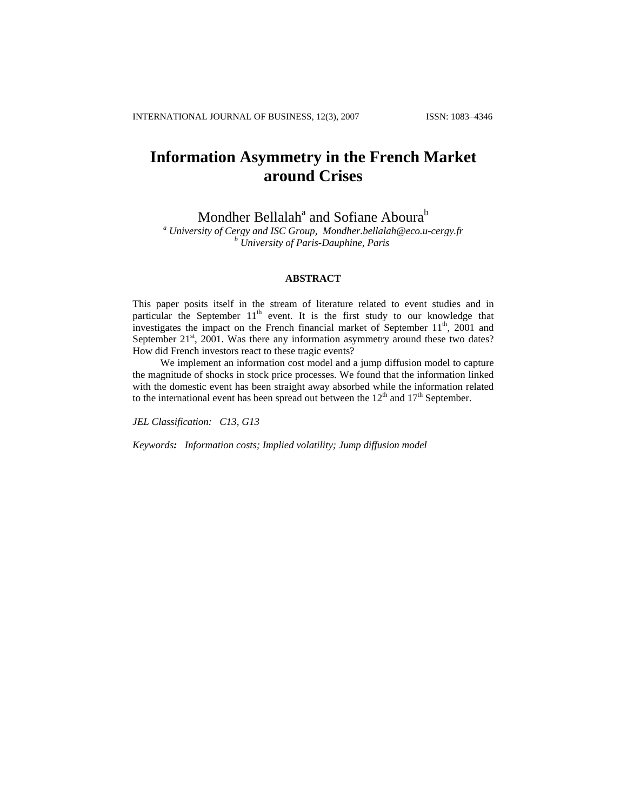# **Information Asymmetry in the French Market around Crises**

Mondher Bellalah<sup>a</sup> and Sofiane Aboura<sup>b</sup>

*a University of Cergy and ISC Group, [Mondher.bellalah@eco.u-cergy.fr](mailto:Mondher.bellalah@eco.u-cergy.fr) <sup>b</sup> University of Paris-Dauphine, Paris* 

# **ABSTRACT**

This paper posits itself in the stream of literature related to event studies and in particular the September  $11<sup>th</sup>$  event. It is the first study to our knowledge that investigates the impact on the French financial market of September  $11<sup>th</sup>$ , 2001 and September  $21<sup>st</sup>$ ,  $2001$ . Was there any information asymmetry around these two dates? How did French investors react to these tragic events?

 We implement an information cost model and a jump diffusion model to capture the magnitude of shocks in stock price processes. We found that the information linked with the domestic event has been straight away absorbed while the information related to the international event has been spread out between the  $12<sup>th</sup>$  and  $17<sup>th</sup>$  September.

*JEL Classification: C13, G13* 

*Keywords: Information costs; Implied volatility; Jump diffusion model*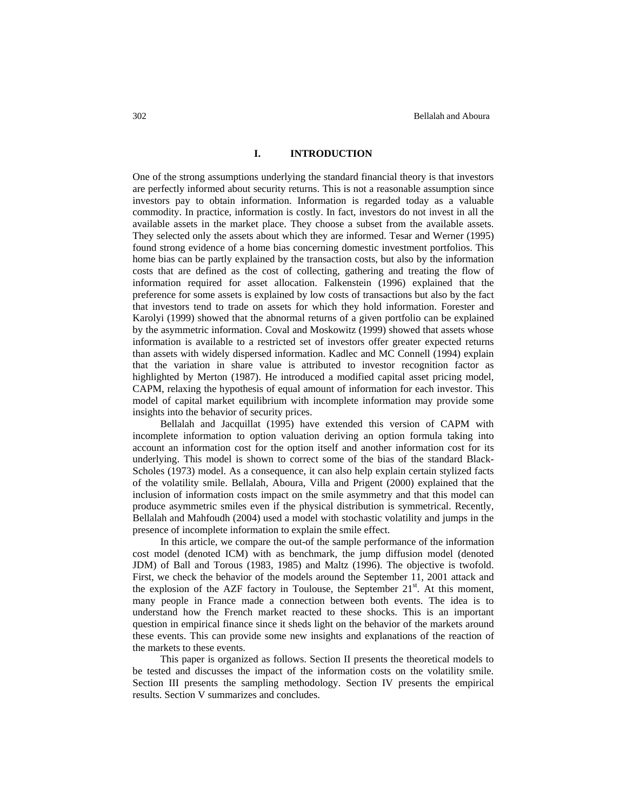# **I. INTRODUCTION**

One of the strong assumptions underlying the standard financial theory is that investors are perfectly informed about security returns. This is not a reasonable assumption since investors pay to obtain information. Information is regarded today as a valuable commodity. In practice, information is costly. In fact, investors do not invest in all the available assets in the market place. They choose a subset from the available assets. They selected only the assets about which they are informed. Tesar and Werner (1995) found strong evidence of a home bias concerning domestic investment portfolios. This home bias can be partly explained by the transaction costs, but also by the information costs that are defined as the cost of collecting, gathering and treating the flow of information required for asset allocation. Falkenstein (1996) explained that the preference for some assets is explained by low costs of transactions but also by the fact that investors tend to trade on assets for which they hold information. Forester and Karolyi (1999) showed that the abnormal returns of a given portfolio can be explained by the asymmetric information. Coval and Moskowitz (1999) showed that assets whose information is available to a restricted set of investors offer greater expected returns than assets with widely dispersed information. Kadlec and MC Connell (1994) explain that the variation in share value is attributed to investor recognition factor as highlighted by Merton (1987). He introduced a modified capital asset pricing model, CAPM, relaxing the hypothesis of equal amount of information for each investor. This model of capital market equilibrium with incomplete information may provide some insights into the behavior of security prices.

Bellalah and Jacquillat (1995) have extended this version of CAPM with incomplete information to option valuation deriving an option formula taking into account an information cost for the option itself and another information cost for its underlying. This model is shown to correct some of the bias of the standard Black-Scholes (1973) model. As a consequence, it can also help explain certain stylized facts of the volatility smile. Bellalah, Aboura, Villa and Prigent (2000) explained that the inclusion of information costs impact on the smile asymmetry and that this model can produce asymmetric smiles even if the physical distribution is symmetrical. Recently, Bellalah and Mahfoudh (2004) used a model with stochastic volatility and jumps in the presence of incomplete information to explain the smile effect.

In this article, we compare the out-of the sample performance of the information cost model (denoted ICM) with as benchmark, the jump diffusion model (denoted JDM) of Ball and Torous (1983, 1985) and Maltz (1996). The objective is twofold. First, we check the behavior of the models around the September 11, 2001 attack and the explosion of the AZF factory in Toulouse, the September  $21<sup>st</sup>$ . At this moment, many people in France made a connection between both events. The idea is to understand how the French market reacted to these shocks. This is an important question in empirical finance since it sheds light on the behavior of the markets around these events. This can provide some new insights and explanations of the reaction of the markets to these events.

This paper is organized as follows. Section II presents the theoretical models to be tested and discusses the impact of the information costs on the volatility smile. Section III presents the sampling methodology. Section IV presents the empirical results. Section V summarizes and concludes.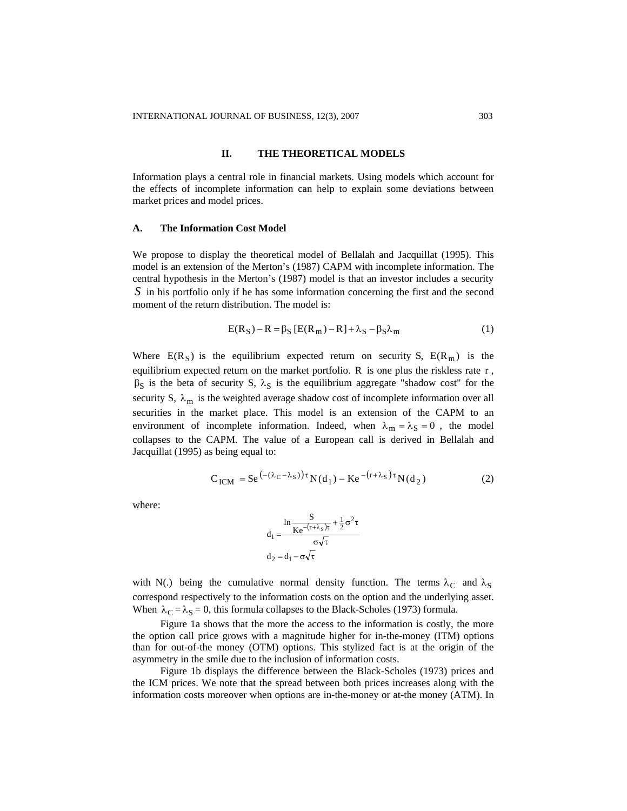# **II. THE THEORETICAL MODELS**

Information plays a central role in financial markets. Using models which account for the effects of incomplete information can help to explain some deviations between market prices and model prices.

#### **A. The Information Cost Model**

We propose to display the theoretical model of Bellalah and Jacquillat (1995). This model is an extension of the Merton's (1987) CAPM with incomplete information. The central hypothesis in the Merton's (1987) model is that an investor includes a security S in his portfolio only if he has some information concerning the first and the second moment of the return distribution. The model is:

$$
E(RS) - R = \betaS [E(Rm) - R] + \lambdaS - \betaS \lambdam
$$
 (1)

Where  $E(R<sub>S</sub>)$  is the equilibrium expected return on security S,  $E(R<sub>m</sub>)$  is the equilibrium expected return on the market portfolio. R is one plus the riskless rate r,  $\beta_S$  is the beta of security S,  $\lambda_S$  is the equilibrium aggregate "shadow cost" for the security S,  $\lambda_m$  is the weighted average shadow cost of incomplete information over all securities in the market place. This model is an extension of the CAPM to an environment of incomplete information. Indeed, when  $\lambda_m = \lambda_S = 0$ , the model collapses to the CAPM. The value of a European call is derived in Bellalah and Jacquillat (1995) as being equal to:

$$
C_{ICM} = Se^{(-(\lambda_C - \lambda_S))\tau} N(d_1) - Ke^{-(r+\lambda_S)\tau} N(d_2)
$$
 (2)

where:

$$
d_1 = \frac{\ln \frac{S}{K e^{-(r+\lambda_S)\tau}} + \frac{1}{2}\sigma^2 \tau}{\sigma \sqrt{\tau}} \\ d_2 = d_1 - \sigma \sqrt{\tau}
$$

with N(.) being the cumulative normal density function. The terms  $\lambda_C$  and  $\lambda_S$ correspond respectively to the information costs on the option and the underlying asset. When  $\lambda_C = \lambda_S = 0$ , this formula collapses to the Black-Scholes (1973) formula.

Figure 1a shows that the more the access to the information is costly, the more the option call price grows with a magnitude higher for in-the-money (ITM) options than for out-of-the money (OTM) options. This stylized fact is at the origin of the asymmetry in the smile due to the inclusion of information costs.

Figure 1b displays the difference between the Black-Scholes (1973) prices and the ICM prices. We note that the spread between both prices increases along with the information costs moreover when options are in-the-money or at-the money (ATM). In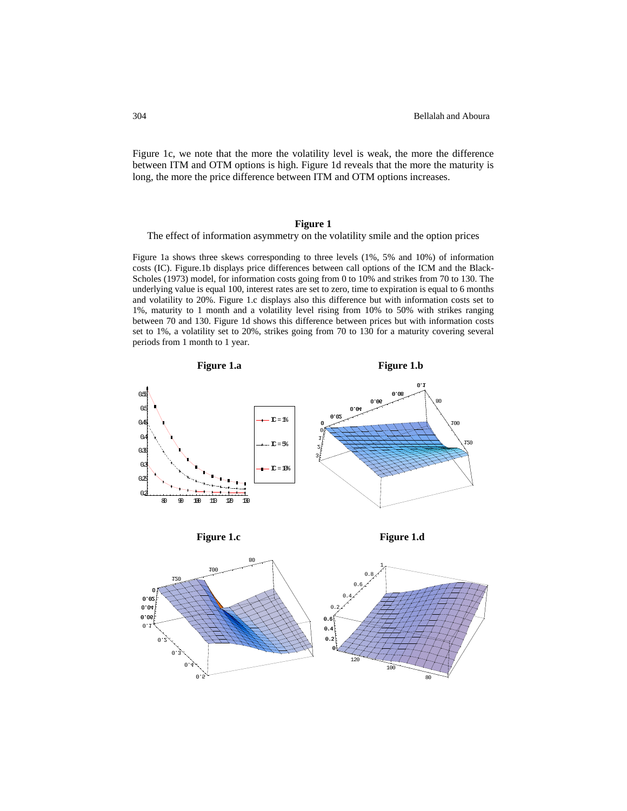Figure 1c, we note that the more the volatility level is weak, the more the difference between ITM and OTM options is high. Figure 1d reveals that the more the maturity is long, the more the price difference between ITM and OTM options increases.

## **Figure 1**

The effect of information asymmetry on the volatility smile and the option prices

Figure 1a shows three skews corresponding to three levels (1%, 5% and 10%) of information costs (IC). Figure.1b displays price differences between call options of the ICM and the Black-Scholes (1973) model, for information costs going from 0 to 10% and strikes from 70 to 130. The underlying value is equal 100, interest rates are set to zero, time to expiration is equal to 6 months and volatility to 20%. Figure 1.c displays also this difference but with information costs set to 1%, maturity to 1 month and a volatility level rising from 10% to 50% with strikes ranging between 70 and 130. Figure 1d shows this difference between prices but with information costs set to 1%, a volatility set to 20%, strikes going from 70 to 130 for a maturity covering several periods from 1 month to 1 year.





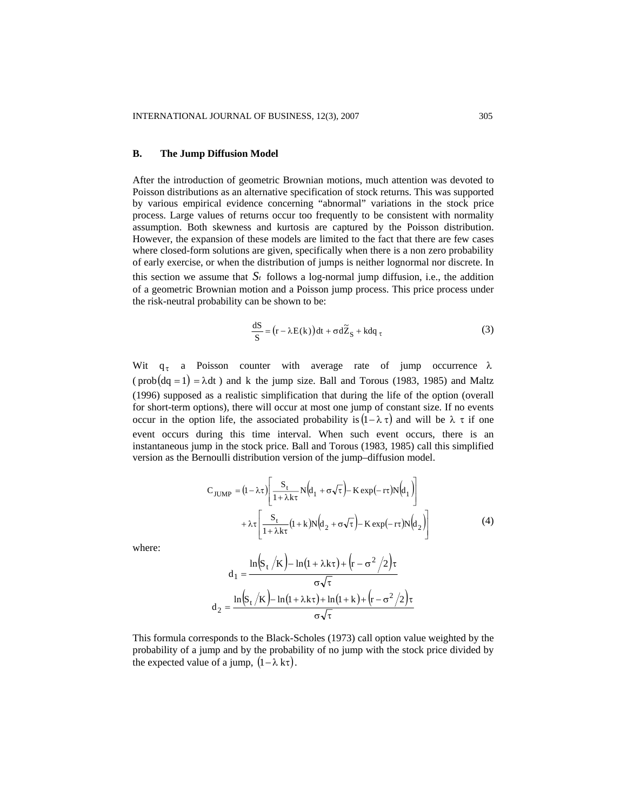#### **B. The Jump Diffusion Model**

After the introduction of geometric Brownian motions, much attention was devoted to Poisson distributions as an alternative specification of stock returns. This was supported by various empirical evidence concerning "abnormal" variations in the stock price process. Large values of returns occur too frequently to be consistent with normality assumption. Both skewness and kurtosis are captured by the Poisson distribution. However, the expansion of these models are limited to the fact that there are few cases where closed-form solutions are given, specifically when there is a non zero probability of early exercise, or when the distribution of jumps is neither lognormal nor discrete. In this section we assume that  $S_t$  follows a log-normal jump diffusion, i.e., the addition of a geometric Brownian motion and a Poisson jump process. This price process under the risk-neutral probability can be shown to be:

$$
\frac{dS}{S} = (r - \lambda E(k))dt + \sigma d\tilde{Z}_S + kdq_\tau
$$
\n(3)

Wit  $q_{\tau}$  a Poisson counter with average rate of jump occurrence  $\lambda$ (prob(dq = 1) =  $\lambda$ dt) and k the jump size. Ball and Torous (1983, 1985) and Maltz (1996) supposed as a realistic simplification that during the life of the option (overall for short-term options), there will occur at most one jump of constant size. If no events occur in the option life, the associated probability is  $(1 - \lambda \tau)$  and will be  $\lambda \tau$  if one event occurs during this time interval. When such event occurs, there is an instantaneous jump in the stock price. Ball and Torous (1983, 1985) call this simplified version as the Bernoulli distribution version of the jump–diffusion model.

$$
C_{JUMP} = (1 - \lambda \tau) \left[ \frac{S_t}{1 + \lambda k \tau} N (d_1 + \sigma \sqrt{\tau}) - K \exp(-r \tau) N (d_1) \right]
$$
  
+  $\lambda \tau \left[ \frac{S_t}{1 + \lambda k \tau} (1 + k) N (d_2 + \sigma \sqrt{\tau}) - K \exp(-r \tau) N (d_2) \right]$  (4)

where:

$$
d_1 = \frac{\ln(s_t / \kappa) - \ln(1 + \lambda k \tau) + (r - \sigma^2 / 2)\tau}{\sigma \sqrt{\tau}}
$$

$$
d_2 = \frac{\ln(s_t / \kappa) - \ln(1 + \lambda k \tau) + \ln(1 + k) + (r - \sigma^2 / 2)\tau}{\sigma \sqrt{\tau}}
$$

This formula corresponds to the Black-Scholes (1973) call option value weighted by the probability of a jump and by the probability of no jump with the stock price divided by the expected value of a jump,  $(1 - \lambda k \tau)$ .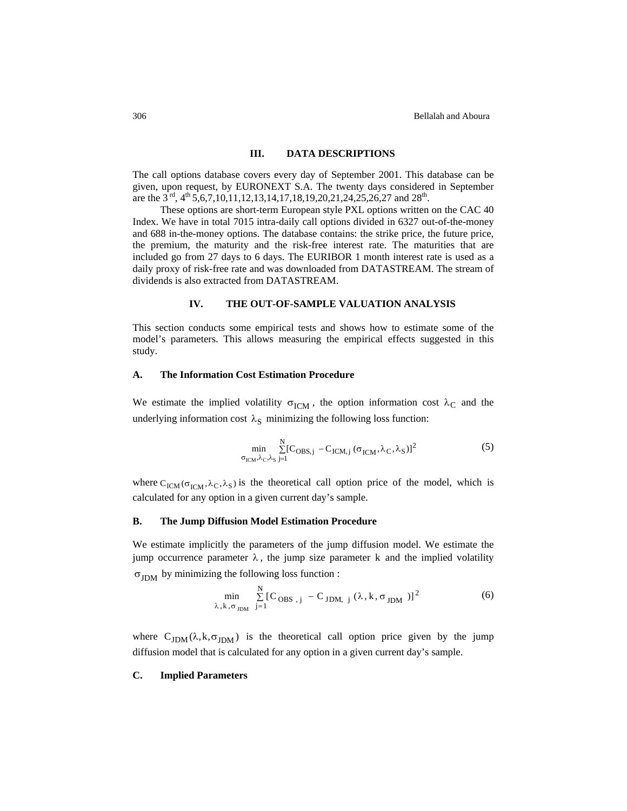## **III. DATA DESCRIPTIONS**

The call options database covers every day of September 2001. This database can be given, upon request, by EURONEXT S.A. The twenty days considered in September are the  $3<sup>rd</sup>$ ,  $4<sup>th</sup>5,6,7,10,11,12,13,14,17,18,19,20,21,24,25,26,27$  and  $28<sup>th</sup>$ .

These options are short-term European style PXL options written on the CAC 40 Index. We have in total 7015 intra-daily call options divided in 6327 out-of-the-money and 688 in-the-money options. The database contains: the strike price, the future price, the premium, the maturity and the risk-free interest rate. The maturities that are included go from 27 days to 6 days. The EURIBOR 1 month interest rate is used as a daily proxy of risk-free rate and was downloaded from DATASTREAM. The stream of dividends is also extracted from DATASTREAM.

# **IV. THE OUT-OF-SAMPLE VALUATION ANALYSIS**

This section conducts some empirical tests and shows how to estimate some of the model's parameters. This allows measuring the empirical effects suggested in this study.

## **A. The Information Cost Estimation Procedure**

We estimate the implied volatility  $\sigma_{\rm ICM}$ , the option information cost  $\lambda_C$  and the underlying information cost  $\lambda_S$  minimizing the following loss function:

$$
\min_{\sigma_{\text{ICM}}, \lambda_{\text{C}}, \lambda_{\text{S}}} \sum_{j=1}^{N} \left[ C_{\text{OBS},j} - C_{\text{ICM},j} \left( \sigma_{\text{ICM}}, \lambda_{\text{C}}, \lambda_{\text{S}} \right) \right]^2 \tag{5}
$$

where  $C_{\text{ICM}}(\sigma_{\text{ICM}}, \lambda_C, \lambda_S)$  is the theoretical call option price of the model, which is calculated for any option in a given current day's sample.

#### **B. The Jump Diffusion Model Estimation Procedure**

We estimate implicitly the parameters of the jump diffusion model. We estimate the jump occurrence parameter  $\lambda$ , the jump size parameter k and the implied volatility

 $\sigma_{\text{IDM}}$  by minimizing the following loss function :

$$
\min_{\lambda, k, \sigma_{JDM}} \sum_{j=1}^{N} [C_{OBS, j} - C_{JDM, j} (\lambda, k, \sigma_{JDM})]^2
$$
 (6)

where  $C_{JDM}(\lambda, k, \sigma_{JDM})$  is the theoretical call option price given by the jump diffusion model that is calculated for any option in a given current day's sample.

#### **C. Implied Parameters**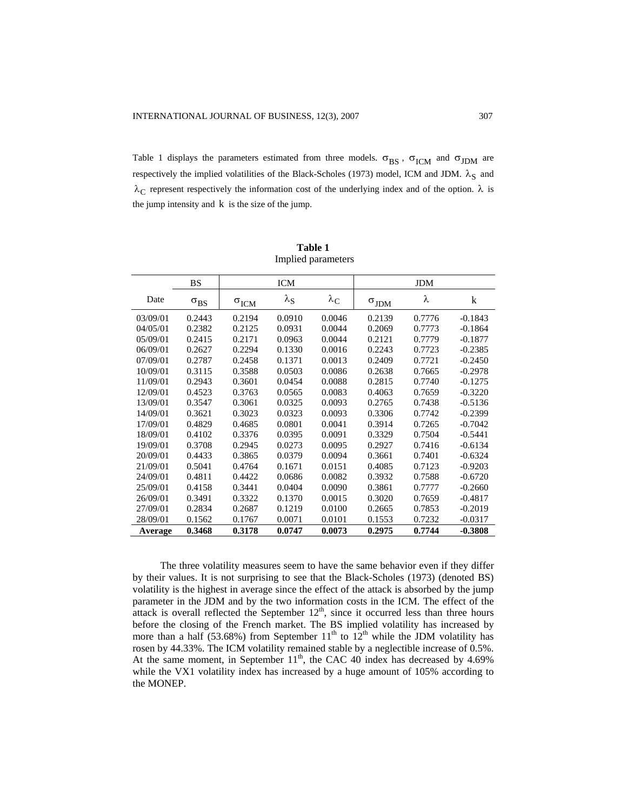Table 1 displays the parameters estimated from three models.  $\sigma_{BS}$ ,  $\sigma_{ICM}$  and  $\sigma_{JDM}$  are respectively the implied volatilities of the Black-Scholes (1973) model, ICM and JDM.  $\lambda_S$  and  $\lambda_C$  represent respectively the information cost of the underlying index and of the option.  $\lambda$  is the jump intensity and k is the size of the jump.

|          | BS            |                         | <b>ICM</b>        |                        |                       | <b>JDM</b> |           |
|----------|---------------|-------------------------|-------------------|------------------------|-----------------------|------------|-----------|
| Date     | $\sigma_{BS}$ | $\sigma$ <sub>ICM</sub> | $\lambda_{\rm S}$ | $\lambda_{\mathrm{C}}$ | $\sigma_{\text{JDM}}$ | λ          | k         |
| 03/09/01 | 0.2443        | 0.2194                  | 0.0910            | 0.0046                 | 0.2139                | 0.7776     | $-0.1843$ |
| 04/05/01 | 0.2382        | 0.2125                  | 0.0931            | 0.0044                 | 0.2069                | 0.7773     | $-0.1864$ |
| 05/09/01 | 0.2415        | 0.2171                  | 0.0963            | 0.0044                 | 0.2121                | 0.7779     | $-0.1877$ |
| 06/09/01 | 0.2627        | 0.2294                  | 0.1330            | 0.0016                 | 0.2243                | 0.7723     | $-0.2385$ |
| 07/09/01 | 0.2787        | 0.2458                  | 0.1371            | 0.0013                 | 0.2409                | 0.7721     | $-0.2450$ |
| 10/09/01 | 0.3115        | 0.3588                  | 0.0503            | 0.0086                 | 0.2638                | 0.7665     | $-0.2978$ |
| 11/09/01 | 0.2943        | 0.3601                  | 0.0454            | 0.0088                 | 0.2815                | 0.7740     | $-0.1275$ |
| 12/09/01 | 0.4523        | 0.3763                  | 0.0565            | 0.0083                 | 0.4063                | 0.7659     | $-0.3220$ |
| 13/09/01 | 0.3547        | 0.3061                  | 0.0325            | 0.0093                 | 0.2765                | 0.7438     | $-0.5136$ |
| 14/09/01 | 0.3621        | 0.3023                  | 0.0323            | 0.0093                 | 0.3306                | 0.7742     | $-0.2399$ |
| 17/09/01 | 0.4829        | 0.4685                  | 0.0801            | 0.0041                 | 0.3914                | 0.7265     | $-0.7042$ |
| 18/09/01 | 0.4102        | 0.3376                  | 0.0395            | 0.0091                 | 0.3329                | 0.7504     | $-0.5441$ |
| 19/09/01 | 0.3708        | 0.2945                  | 0.0273            | 0.0095                 | 0.2927                | 0.7416     | $-0.6134$ |
| 20/09/01 | 0.4433        | 0.3865                  | 0.0379            | 0.0094                 | 0.3661                | 0.7401     | $-0.6324$ |
| 21/09/01 | 0.5041        | 0.4764                  | 0.1671            | 0.0151                 | 0.4085                | 0.7123     | $-0.9203$ |
| 24/09/01 | 0.4811        | 0.4422                  | 0.0686            | 0.0082                 | 0.3932                | 0.7588     | $-0.6720$ |
| 25/09/01 | 0.4158        | 0.3441                  | 0.0404            | 0.0090                 | 0.3861                | 0.7777     | $-0.2660$ |
| 26/09/01 | 0.3491        | 0.3322                  | 0.1370            | 0.0015                 | 0.3020                | 0.7659     | $-0.4817$ |
| 27/09/01 | 0.2834        | 0.2687                  | 0.1219            | 0.0100                 | 0.2665                | 0.7853     | $-0.2019$ |
| 28/09/01 | 0.1562        | 0.1767                  | 0.0071            | 0.0101                 | 0.1553                | 0.7232     | $-0.0317$ |
| Average  | 0.3468        | 0.3178                  | 0.0747            | 0.0073                 | 0.2975                | 0.7744     | $-0.3808$ |

**Table 1**  Implied parameters

 The three volatility measures seem to have the same behavior even if they differ by their values. It is not surprising to see that the Black-Scholes (1973) (denoted BS) volatility is the highest in average since the effect of the attack is absorbed by the jump parameter in the JDM and by the two information costs in the ICM. The effect of the attack is overall reflected the September  $12<sup>th</sup>$ , since it occurred less than three hours before the closing of the French market. The BS implied volatility has increased by more than a half (53.68%) from September  $11<sup>th</sup>$  to  $12<sup>th</sup>$  while the JDM volatility has rosen by 44.33%. The ICM volatility remained stable by a neglectible increase of 0.5%. At the same moment, in September  $11<sup>th</sup>$ , the CAC 40 index has decreased by 4.69% while the VX1 volatility index has increased by a huge amount of 105% according to the MONEP.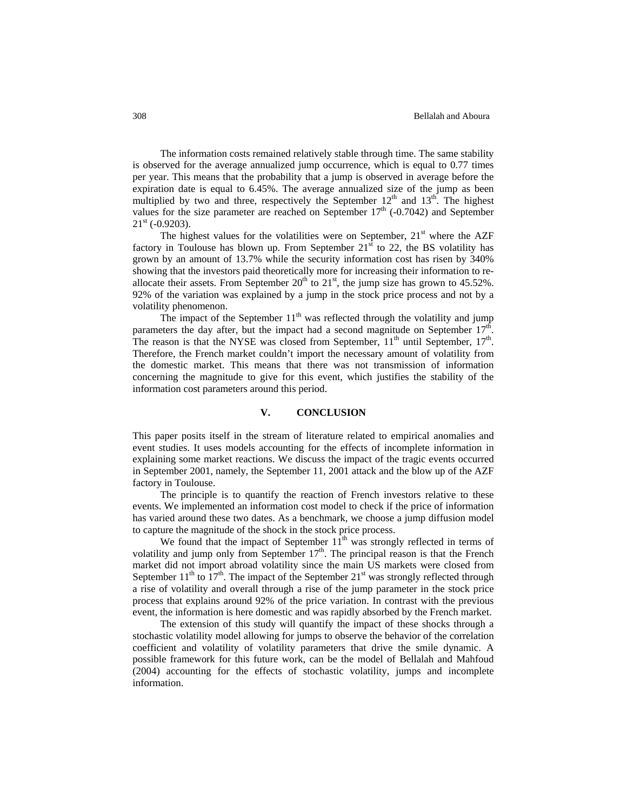The information costs remained relatively stable through time. The same stability is observed for the average annualized jump occurrence, which is equal to 0.77 times per year. This means that the probability that a jump is observed in average before the expiration date is equal to 6.45%. The average annualized size of the jump as been multiplied by two and three, respectively the September  $12<sup>th</sup>$  and  $13<sup>th</sup>$ . The highest values for the size parameter are reached on September  $17<sup>th</sup>$  (-0.7042) and September  $21<sup>st</sup>$  (-0.9203).

The highest values for the volatilities were on September,  $21<sup>st</sup>$  where the AZF factory in Toulouse has blown up. From September  $21<sup>st</sup>$  to 22, the BS volatility has grown by an amount of 13.7% while the security information cost has risen by 340% showing that the investors paid theoretically more for increasing their information to reallocate their assets. From September  $20<sup>th</sup>$  to  $21<sup>st</sup>$ , the jump size has grown to 45.52%. 92% of the variation was explained by a jump in the stock price process and not by a volatility phenomenon.

The impact of the September  $11<sup>th</sup>$  was reflected through the volatility and jump parameters the day after, but the impact had a second magnitude on September  $17<sup>th</sup>$ The reason is that the NYSE was closed from September,  $11<sup>th</sup>$  until September,  $17<sup>th</sup>$ . Therefore, the French market couldn't import the necessary amount of volatility from the domestic market. This means that there was not transmission of information concerning the magnitude to give for this event, which justifies the stability of the information cost parameters around this period.

# **V. CONCLUSION**

This paper posits itself in the stream of literature related to empirical anomalies and event studies. It uses models accounting for the effects of incomplete information in explaining some market reactions. We discuss the impact of the tragic events occurred in September 2001, namely, the September 11, 2001 attack and the blow up of the AZF factory in Toulouse.

The principle is to quantify the reaction of French investors relative to these events. We implemented an information cost model to check if the price of information has varied around these two dates. As a benchmark, we choose a jump diffusion model to capture the magnitude of the shock in the stock price process.

We found that the impact of September  $11<sup>th</sup>$  was strongly reflected in terms of volatility and jump only from September  $17<sup>th</sup>$ . The principal reason is that the French market did not import abroad volatility since the main US markets were closed from September  $11^{th}$  to  $17^{th}$ . The impact of the September  $21^{st}$  was strongly reflected through a rise of volatility and overall through a rise of the jump parameter in the stock price process that explains around 92% of the price variation. In contrast with the previous event, the information is here domestic and was rapidly absorbed by the French market.

The extension of this study will quantify the impact of these shocks through a stochastic volatility model allowing for jumps to observe the behavior of the correlation coefficient and volatility of volatility parameters that drive the smile dynamic. A possible framework for this future work, can be the model of Bellalah and Mahfoud (2004) accounting for the effects of stochastic volatility, jumps and incomplete information.